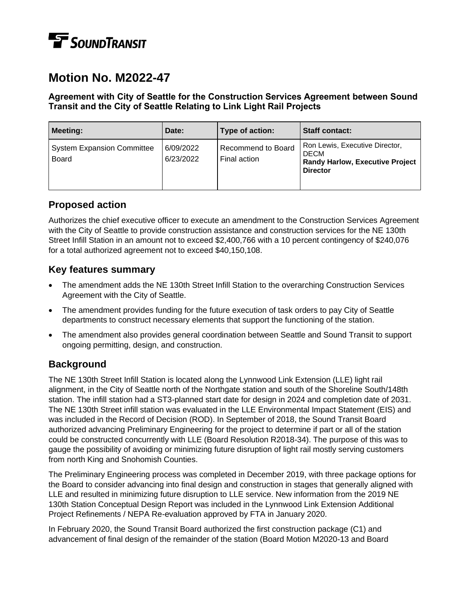# **TE** SOUNDTRANSIT

# **Motion No. M2022-47**

#### **Agreement with City of Seattle for the Construction Services Agreement between Sound Transit and the City of Seattle Relating to Link Light Rail Projects**

| <b>Meeting:</b>                                   | Date:                  | Type of action:                    | <b>Staff contact:</b>                                                                                      |
|---------------------------------------------------|------------------------|------------------------------------|------------------------------------------------------------------------------------------------------------|
| <b>System Expansion Committee</b><br><b>Board</b> | 6/09/2022<br>6/23/2022 | Recommend to Board<br>Final action | Ron Lewis, Executive Director,<br><b>DECM</b><br><b>Randy Harlow, Executive Project</b><br><b>Director</b> |

# **Proposed action**

Authorizes the chief executive officer to execute an amendment to the Construction Services Agreement with the City of Seattle to provide construction assistance and construction services for the NE 130th Street Infill Station in an amount not to exceed \$2,400,766 with a 10 percent contingency of \$240,076 for a total authorized agreement not to exceed \$40,150,108.

### **Key features summary**

- The amendment adds the NE 130th Street Infill Station to the overarching Construction Services Agreement with the City of Seattle.
- The amendment provides funding for the future execution of task orders to pay City of Seattle departments to construct necessary elements that support the functioning of the station.
- The amendment also provides general coordination between Seattle and Sound Transit to support ongoing permitting, design, and construction.

## **Background**

The NE 130th Street Infill Station is located along the Lynnwood Link Extension (LLE) light rail alignment, in the City of Seattle north of the Northgate station and south of the Shoreline South/148th station. The infill station had a ST3-planned start date for design in 2024 and completion date of 2031. The NE 130th Street infill station was evaluated in the LLE Environmental Impact Statement (EIS) and was included in the Record of Decision (ROD). In September of 2018, the Sound Transit Board authorized advancing Preliminary Engineering for the project to determine if part or all of the station could be constructed concurrently with LLE (Board Resolution R2018-34). The purpose of this was to gauge the possibility of avoiding or minimizing future disruption of light rail mostly serving customers from north King and Snohomish Counties.

The Preliminary Engineering process was completed in December 2019, with three package options for the Board to consider advancing into final design and construction in stages that generally aligned with LLE and resulted in minimizing future disruption to LLE service. New information from the 2019 NE 130th Station Conceptual Design Report was included in the Lynnwood Link Extension Additional Project Refinements / NEPA Re-evaluation approved by FTA in January 2020.

In February 2020, the Sound Transit Board authorized the first construction package (C1) and advancement of final design of the remainder of the station (Board Motion M2020-13 and Board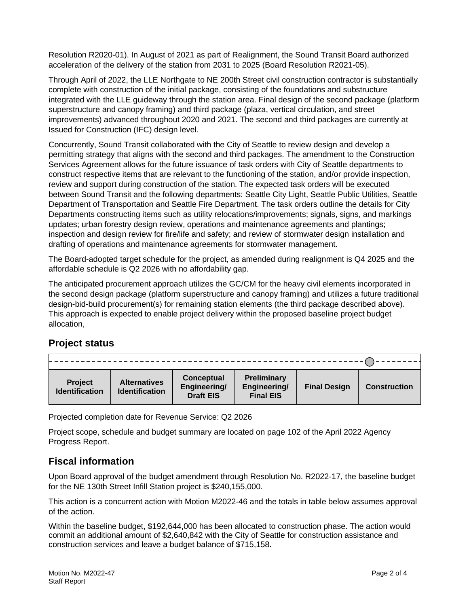Resolution R2020-01). In August of 2021 as part of Realignment, the Sound Transit Board authorized acceleration of the delivery of the station from 2031 to 2025 (Board Resolution R2021-05).

Through April of 2022, the LLE Northgate to NE 200th Street civil construction contractor is substantially complete with construction of the initial package, consisting of the foundations and substructure integrated with the LLE guideway through the station area. Final design of the second package (platform superstructure and canopy framing) and third package (plaza, vertical circulation, and street improvements) advanced throughout 2020 and 2021. The second and third packages are currently at Issued for Construction (IFC) design level.

Concurrently, Sound Transit collaborated with the City of Seattle to review design and develop a permitting strategy that aligns with the second and third packages. The amendment to the Construction Services Agreement allows for the future issuance of task orders with City of Seattle departments to construct respective items that are relevant to the functioning of the station, and/or provide inspection, review and support during construction of the station. The expected task orders will be executed between Sound Transit and the following departments: Seattle City Light, Seattle Public Utilities, Seattle Department of Transportation and Seattle Fire Department. The task orders outline the details for City Departments constructing items such as utility relocations/improvements; signals, signs, and markings updates; urban forestry design review, operations and maintenance agreements and plantings; inspection and design review for fire/life and safety; and review of stormwater design installation and drafting of operations and maintenance agreements for stormwater management.

The Board-adopted target schedule for the project, as amended during realignment is Q4 2025 and the affordable schedule is Q2 2026 with no affordability gap.

The anticipated procurement approach utilizes the GC/CM for the heavy civil elements incorporated in the second design package (platform superstructure and canopy framing) and utilizes a future traditional design-bid-build procurement(s) for remaining station elements (the third package described above). This approach is expected to enable project delivery within the proposed baseline project budget allocation,

## **Project status**

| <b>Project</b><br><b>Identification</b> | <b>Alternatives</b><br><b>Identification</b> | Conceptual<br>Engineering/<br><b>Draft EIS</b> | <b>Preliminary</b><br>Engineering/<br><b>Final EIS</b> | <b>Final Design</b> | <b>Construction</b> |
|-----------------------------------------|----------------------------------------------|------------------------------------------------|--------------------------------------------------------|---------------------|---------------------|

Projected completion date for Revenue Service: Q2 2026

Project scope, schedule and budget summary are located on page 102 of the April 2022 Agency Progress Report.

## **Fiscal information**

Upon Board approval of the budget amendment through Resolution No. R2022-17, the baseline budget for the NE 130th Street Infill Station project is \$240,155,000.

This action is a concurrent action with Motion M2022-46 and the totals in table below assumes approval of the action.

Within the baseline budget, \$192,644,000 has been allocated to construction phase. The action would commit an additional amount of \$2,640,842 with the City of Seattle for construction assistance and construction services and leave a budget balance of \$715,158.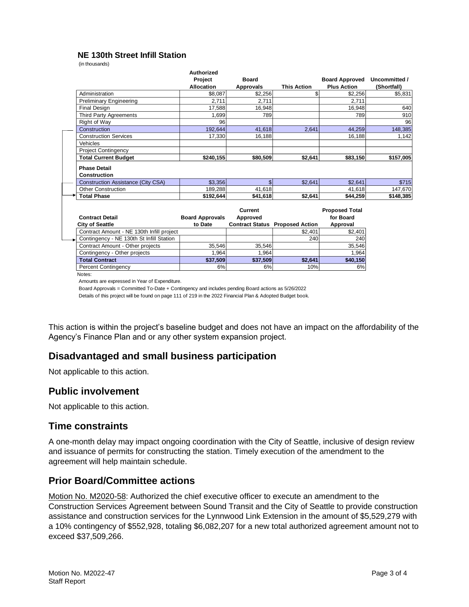#### **NE 130th Street Infill Station**

(in thousands)

|                                           | <b>Authorized</b>      |                  |                                        |                       |               |
|-------------------------------------------|------------------------|------------------|----------------------------------------|-----------------------|---------------|
|                                           | Project                | <b>Board</b>     |                                        | <b>Board Approved</b> | Uncommitted / |
|                                           | <b>Allocation</b>      | <b>Approvals</b> | <b>This Action</b>                     | <b>Plus Action</b>    | (Shortfall)   |
| Administration                            | \$8,087                | \$2,256          | \$                                     | \$2,256               | \$5,831       |
| <b>Preliminary Engineering</b>            | 2.711                  | 2.711            |                                        | 2.711                 |               |
| <b>Final Design</b>                       | 17,588                 | 16,948           |                                        | 16,948                | 640           |
| Third Party Agreements                    | 1,699                  | 789              |                                        | 789                   | 910           |
| Right of Way                              | 96                     |                  |                                        |                       | 96            |
| Construction                              | 192.644                | 41.618           | 2.641                                  | 44.259                | 148,385       |
| <b>Construction Services</b>              | 17,330                 | 16,188           |                                        | 16,188                | 1,142         |
| Vehicles                                  |                        |                  |                                        |                       |               |
| <b>Project Contingency</b>                |                        |                  |                                        |                       |               |
| <b>Total Current Budget</b>               | \$240,155              | \$80,509         | \$2,641                                | \$83,150              | \$157,005     |
| <b>Phase Detail</b>                       |                        |                  |                                        |                       |               |
| Construction                              |                        |                  |                                        |                       |               |
| <b>Construction Assistance (City CSA)</b> | \$3,356                | \$               | \$2,641                                | \$2.641               | \$715         |
| <b>Other Construction</b>                 | 189,288                | 41.618           |                                        | 41.618                | 147.670       |
| <b>Total Phase</b>                        | \$192.644              | \$41,618         | \$2,641                                | \$44.259              | \$148,385     |
|                                           |                        |                  |                                        |                       |               |
|                                           |                        | Current          |                                        | <b>Proposed Total</b> |               |
| <b>Contract Detail</b>                    | <b>Board Approvals</b> | Approved         |                                        | for Board             |               |
| <b>City of Seattle</b>                    | to Date                |                  | <b>Contract Status Proposed Action</b> | Approval              |               |
| Contract Amount - NE 130th Infill project |                        |                  | \$2,401                                | \$2,401               |               |
| Contingency - NE 130th St Infill Station  |                        |                  | 240                                    | 240                   |               |
| Contract Amount - Other projects          | 35,546                 | 35,546           |                                        | 35,546                |               |
| Contingency - Other projects              | 1.964                  | 1.964            |                                        | 1,964                 |               |
| <b>Total Contract</b>                     | \$37,509               | \$37,509         | \$2,641                                | \$40,150              |               |
| <b>Percent Contingency</b>                | 6%                     | 6%               | 10%                                    | 6%                    |               |

Notes:

Amounts are expressed in Year of Expenditure.

Board Approvals = Committed To-Date + Contingency and includes pending Board actions as 5/26/2022

Details of this project will be found on page 111 of 219 in the 2022 Financial Plan & Adopted Budget book.

This action is within the project's baseline budget and does not have an impact on the affordability of the Agency's Finance Plan and or any other system expansion project. 

#### **Disadvantaged and small business participation**

Not applicable to this action.

#### **Public involvement**

Not applicable to this action.

#### **Time constraints**

A one-month delay may impact ongoing coordination with the City of Seattle, inclusive of design review and issuance of permits for constructing the station. Timely execution of the amendment to the agreement will help maintain schedule.

#### **Prior Board/Committee actions**

Motion No. M2020-58: Authorized the chief executive officer to execute an amendment to the Construction Services Agreement between Sound Transit and the City of Seattle to provide construction assistance and construction services for the Lynnwood Link Extension in the amount of \$5,529,279 with a 10% contingency of \$552,928, totaling \$6,082,207 for a new total authorized agreement amount not to exceed \$37,509,266.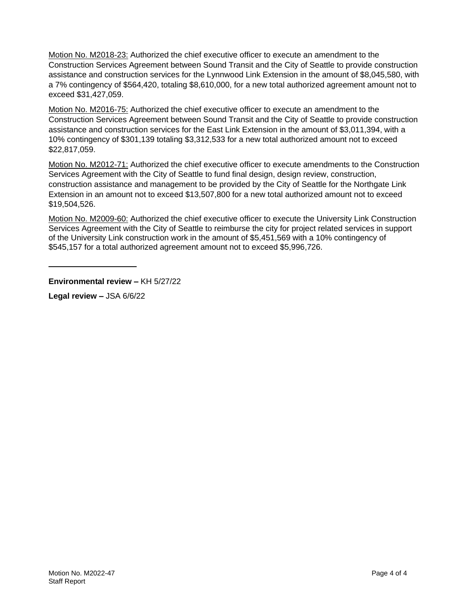Motion No. M2018-23: Authorized the chief executive officer to execute an amendment to the Construction Services Agreement between Sound Transit and the City of Seattle to provide construction assistance and construction services for the Lynnwood Link Extension in the amount of \$8,045,580, with a 7% contingency of \$564,420, totaling \$8,610,000, for a new total authorized agreement amount not to exceed \$31,427,059.

Motion No. M2016-75: Authorized the chief executive officer to execute an amendment to the Construction Services Agreement between Sound Transit and the City of Seattle to provide construction assistance and construction services for the East Link Extension in the amount of \$3,011,394, with a 10% contingency of \$301,139 totaling \$3,312,533 for a new total authorized amount not to exceed \$22,817,059.

Motion No. M2012-71: Authorized the chief executive officer to execute amendments to the Construction Services Agreement with the City of Seattle to fund final design, design review, construction, construction assistance and management to be provided by the City of Seattle for the Northgate Link Extension in an amount not to exceed \$13,507,800 for a new total authorized amount not to exceed \$19,504,526.

Motion No. M2009-60: Authorized the chief executive officer to execute the University Link Construction Services Agreement with the City of Seattle to reimburse the city for project related services in support of the University Link construction work in the amount of \$5,451,569 with a 10% contingency of \$545,157 for a total authorized agreement amount not to exceed \$5,996,726.

**Environmental review –** KH 5/27/22

**Legal review –** JSA 6/6/22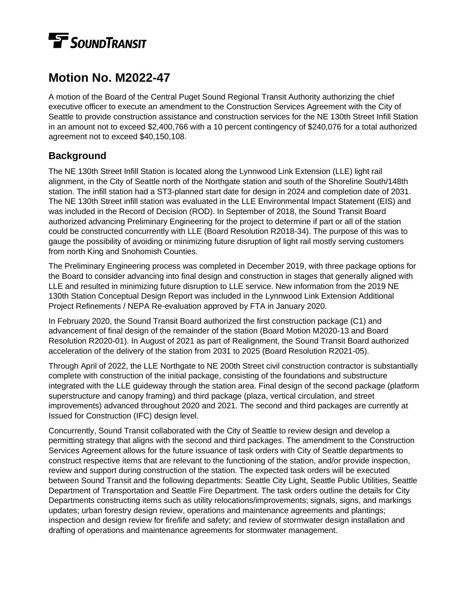# **TE** SOUNDTRANSIT

# **Motion No. M2022-47**

A motion of the Board of the Central Puget Sound Regional Transit Authority authorizing the chief executive officer to execute an amendment to the Construction Services Agreement with the City of Seattle to provide construction assistance and construction services for the NE 130th Street Infill Station in an amount not to exceed \$2,400,766 with a 10 percent contingency of \$240,076 for a total authorized agreement not to exceed \$40,150,108.

# **Background**

The NE 130th Street Infill Station is located along the Lynnwood Link Extension (LLE) light rail alignment, in the City of Seattle north of the Northgate station and south of the Shoreline South/148th station. The infill station had a ST3-planned start date for design in 2024 and completion date of 2031. The NE 130th Street infill station was evaluated in the LLE Environmental Impact Statement (EIS) and was included in the Record of Decision (ROD). In September of 2018, the Sound Transit Board authorized advancing Preliminary Engineering for the project to determine if part or all of the station could be constructed concurrently with LLE (Board Resolution R2018-34). The purpose of this was to gauge the possibility of avoiding or minimizing future disruption of light rail mostly serving customers from north King and Snohomish Counties.

The Preliminary Engineering process was completed in December 2019, with three package options for the Board to consider advancing into final design and construction in stages that generally aligned with LLE and resulted in minimizing future disruption to LLE service. New information from the 2019 NE 130th Station Conceptual Design Report was included in the Lynnwood Link Extension Additional Project Refinements / NEPA Re-evaluation approved by FTA in January 2020.

In February 2020, the Sound Transit Board authorized the first construction package (C1) and advancement of final design of the remainder of the station (Board Motion M2020-13 and Board Resolution R2020-01). In August of 2021 as part of Realignment, the Sound Transit Board authorized acceleration of the delivery of the station from 2031 to 2025 (Board Resolution R2021-05).

Through April of 2022, the LLE Northgate to NE 200th Street civil construction contractor is substantially complete with construction of the initial package, consisting of the foundations and substructure integrated with the LLE guideway through the station area. Final design of the second package (platform superstructure and canopy framing) and third package (plaza, vertical circulation, and street improvements) advanced throughout 2020 and 2021. The second and third packages are currently at Issued for Construction (IFC) design level.

Concurrently, Sound Transit collaborated with the City of Seattle to review design and develop a permitting strategy that aligns with the second and third packages. The amendment to the Construction Services Agreement allows for the future issuance of task orders with City of Seattle departments to construct respective items that are relevant to the functioning of the station, and/or provide inspection, review and support during construction of the station. The expected task orders will be executed between Sound Transit and the following departments: Seattle City Light, Seattle Public Utilities, Seattle Department of Transportation and Seattle Fire Department. The task orders outline the details for City Departments constructing items such as utility relocations/improvements; signals, signs, and markings updates; urban forestry design review, operations and maintenance agreements and plantings; inspection and design review for fire/life and safety; and review of stormwater design installation and drafting of operations and maintenance agreements for stormwater management.